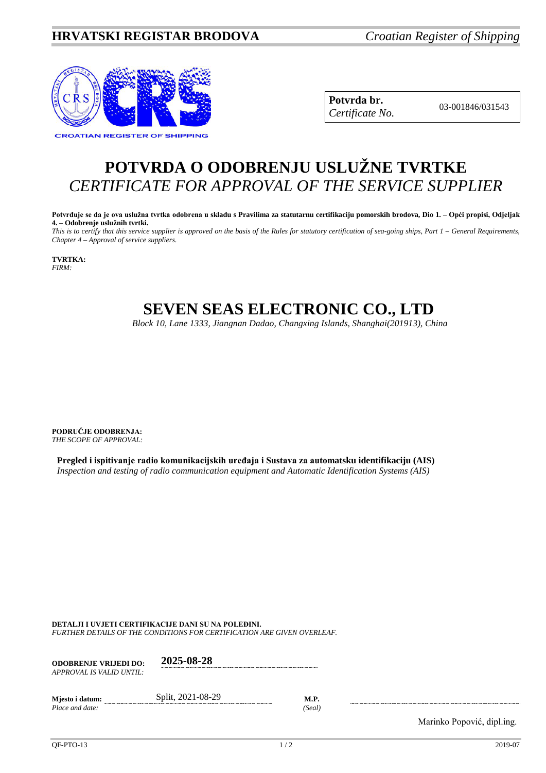## **HRVATSKI REGISTAR BRODOVA** *Croatian Register of Shipping*



**Potvrda br.** 03-001846/031543 *Certificate No.*

## **POTVRDA O ODOBRENJU USLUŽNE TVRTKE** *CERTIFICATE FOR APPROVAL OF THE SERVICE SUPPLIER*

**Potvrđuje se da je ova uslužna tvrtka odobrena u skladu s Pravilima za statutarnu certifikaciju pomorskih brodova, Dio 1. – Opći propisi, Odjeljak 4. – Odobrenje uslužnih tvrtki.**

*This is to certify that this service supplier is approved on the basis of the Rules for statutory certification of sea-going ships, Part 1 – General Requirements, Chapter 4 – Approval of service suppliers.*

**TVRTKA:** *FIRM:*

## **SEVEN SEAS ELECTRONIC CO., LTD**

*Block 10, Lane 1333, Jiangnan Dadao, Changxing Islands, Shanghai(201913), China*

**PODRUČJE ODOBRENJA:** *THE SCOPE OF APPROVAL:*

**Pregled i ispitivanje radio komunikacijskih uređaja i Sustava za automatsku identifikaciju (AIS)** *Inspection and testing of radio communication equipment and Automatic Identification Systems (AIS)*

**DETALJI I UVJETI CERTIFIKACIJE DANI SU NA POLEĐINI.**

*FURTHER DETAILS OF THE CONDITIONS FOR CERTIFICATION ARE GIVEN OVERLEAF.*

| <b>ODOBRENJE VRLJEDI DO:</b><br>APPROVAL IS VALID UNTIL: | 2025-08-28        |                       |
|----------------------------------------------------------|-------------------|-----------------------|
| Miesto i datum:<br>Place and date:                       | Split, 2021-08-29 | <b>M.P.</b><br>(Seal) |

Marinko Popović, dipl.ing.